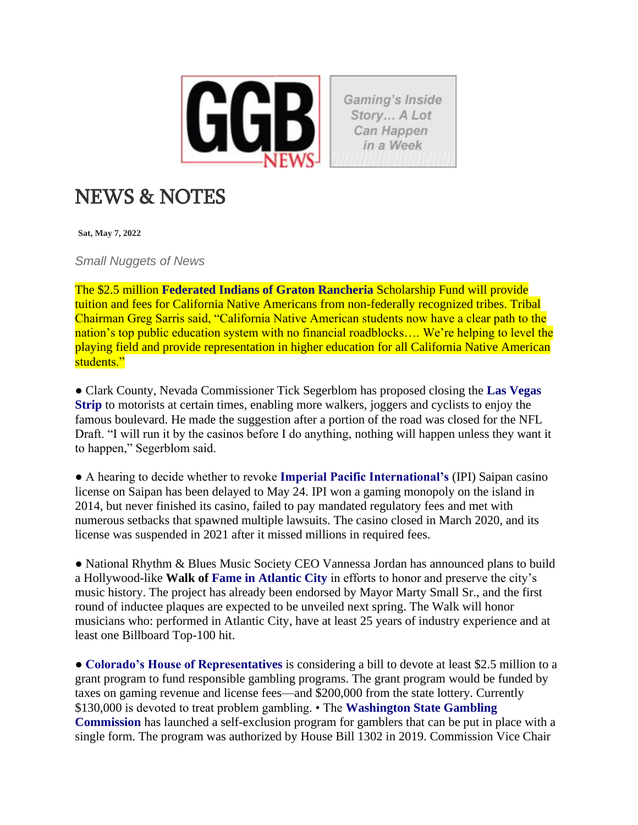

Gaming's Inside Story... A Lot Can Happen in a Week

## NEWS & NOTES

**Sat, May 7, 2022**

*Small Nuggets of News*

The \$2.5 million **Federated Indians of Graton Rancheria** Scholarship Fund will provide tuition and fees for California Native Americans from non-federally recognized tribes. Tribal Chairman Greg Sarris said, "California Native American students now have a clear path to the nation's top public education system with no financial roadblocks.... We're helping to level the playing field and provide representation in higher education for all California Native American students."

**●** Clark County, Nevada Commissioner Tick Segerblom has proposed closing the **Las Vegas Strip** to motorists at certain times, enabling more walkers, joggers and cyclists to enjoy the famous boulevard. He made the suggestion after a portion of the road was closed for the NFL Draft. "I will run it by the casinos before I do anything, nothing will happen unless they want it to happen," Segerblom said.

● A hearing to decide whether to revoke **Imperial Pacific International's** (IPI) Saipan casino license on Saipan has been delayed to May 24. IPI won a gaming monopoly on the island in 2014, but never finished its casino, failed to pay mandated regulatory fees and met with numerous setbacks that spawned multiple lawsuits. The casino closed in March 2020, and its license was suspended in 2021 after it missed millions in required fees.

**●** National Rhythm & Blues Music Society CEO Vannessa Jordan has announced plans to build a Hollywood-like **Walk of Fame in Atlantic City** in efforts to honor and preserve the city's music history. The project has already been endorsed by Mayor Marty Small Sr., and the first round of inductee plaques are expected to be unveiled next spring. The Walk will honor musicians who: performed in Atlantic City, have at least 25 years of industry experience and at least one Billboard Top-100 hit.

● **Colorado's House of Representatives** is considering a bill to devote at least \$2.5 million to a grant program to fund responsible gambling programs. The grant program would be funded by taxes on gaming revenue and license fees—and \$200,000 from the state lottery. Currently \$130,000 is devoted to treat problem gambling. • The **Washington State Gambling Commission** has launched a self-exclusion program for gamblers that can be put in place with a single form. The program was authorized by House Bill 1302 in 2019. Commission Vice Chair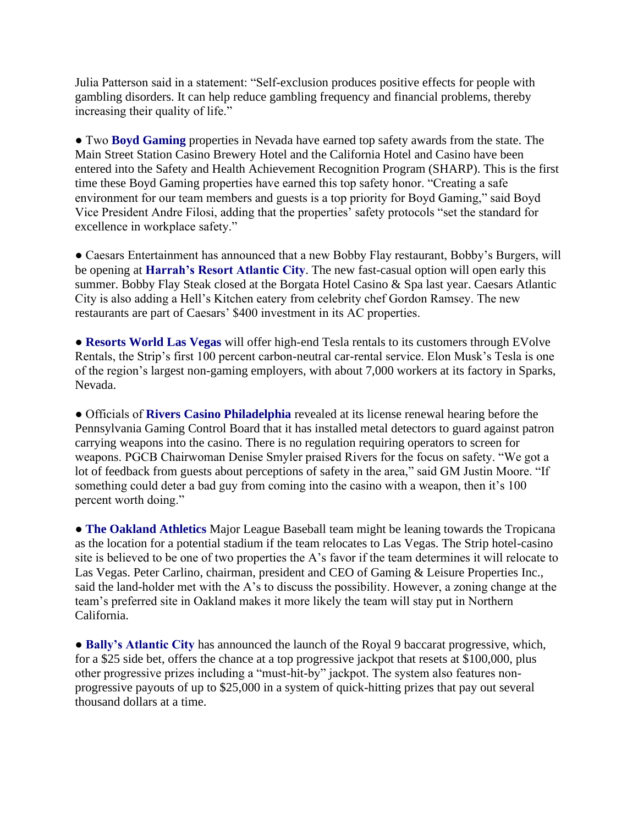Julia Patterson said in a statement: "Self-exclusion produces positive effects for people with gambling disorders. It can help reduce gambling frequency and financial problems, thereby increasing their quality of life."

● Two **Boyd Gaming** properties in Nevada have earned top safety awards from the state. The Main Street Station Casino Brewery Hotel and the California Hotel and Casino have been entered into the Safety and Health Achievement Recognition Program (SHARP). This is the first time these Boyd Gaming properties have earned this top safety honor. "Creating a safe environment for our team members and guests is a top priority for Boyd Gaming," said Boyd Vice President Andre Filosi, adding that the properties' safety protocols "set the standard for excellence in workplace safety."

● Caesars Entertainment has announced that a new Bobby Flay restaurant, Bobby's Burgers, will be opening at **Harrah's Resort Atlantic City**. The new fast-casual option will open early this summer. Bobby Flay Steak closed at the Borgata Hotel Casino & Spa last year. Caesars Atlantic City is also adding a Hell's Kitchen eatery from celebrity chef Gordon Ramsey. The new restaurants are part of Caesars' \$400 investment in its AC properties.

● **Resorts World Las Vegas** will offer high-end Tesla rentals to its customers through EVolve Rentals, the Strip's first 100 percent carbon-neutral car-rental service. Elon Musk's Tesla is one of the region's largest non-gaming employers, with about 7,000 workers at its factory in Sparks, Nevada.

● Officials of **Rivers Casino Philadelphia** revealed at its license renewal hearing before the Pennsylvania Gaming Control Board that it has installed metal detectors to guard against patron carrying weapons into the casino. There is no regulation requiring operators to screen for weapons. PGCB Chairwoman Denise Smyler praised Rivers for the focus on safety. "We got a lot of feedback from guests about perceptions of safety in the area," said GM Justin Moore. "If something could deter a bad guy from coming into the casino with a weapon, then it's 100 percent worth doing."

● **The Oakland Athletics** Major League Baseball team might be leaning towards the Tropicana as the location for a potential stadium if the team relocates to Las Vegas. The Strip hotel-casino site is believed to be one of two properties the A's favor if the team determines it will relocate to Las Vegas. Peter Carlino, chairman, president and CEO of Gaming & Leisure Properties Inc., said the land-holder met with the A's to discuss the possibility. However, a zoning change at the team's preferred site in Oakland makes it more likely the team will stay put in Northern California.

● **Bally's Atlantic City** has announced the launch of the Royal 9 baccarat progressive, which, for a \$25 side bet, offers the chance at a top progressive jackpot that resets at \$100,000, plus other progressive prizes including a "must-hit-by" jackpot. The system also features nonprogressive payouts of up to \$25,000 in a system of quick-hitting prizes that pay out several thousand dollars at a time.